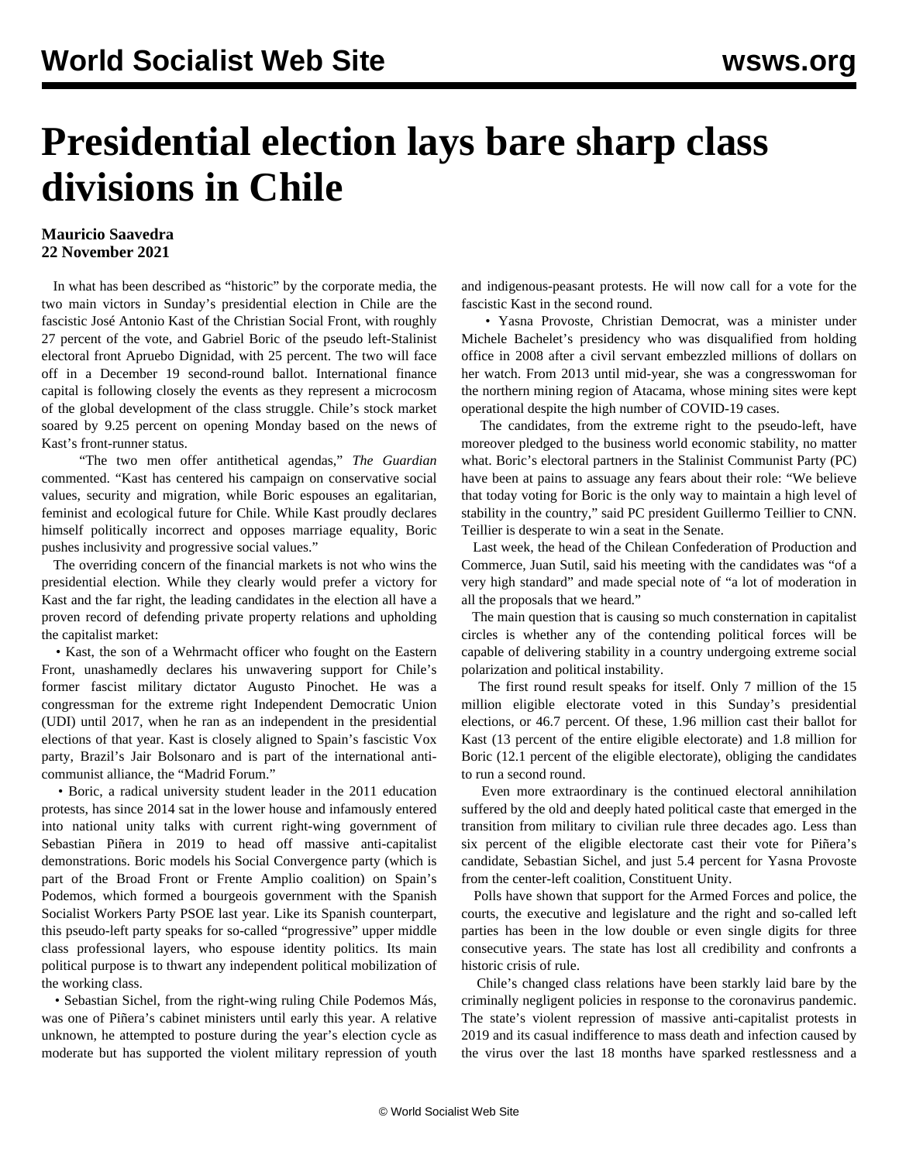## **Presidential election lays bare sharp class divisions in Chile**

## **Mauricio Saavedra 22 November 2021**

 In what has been described as "historic" by the corporate media, the two main victors in Sunday's presidential election in Chile are the fascistic José Antonio Kast of the Christian Social Front, with roughly 27 percent of the vote, and Gabriel Boric of the pseudo left-Stalinist electoral front Apruebo Dignidad, with 25 percent. The two will face off in a December 19 second-round ballot. International finance capital is following closely the events as they represent a microcosm of the global development of the class struggle. Chile's stock market soared by 9.25 percent on opening Monday based on the news of Kast's front-runner status.

 "The two men offer antithetical agendas," *The Guardian* commented. "Kast has centered his campaign on conservative social values, security and migration, while Boric espouses an egalitarian, feminist and ecological future for Chile. While Kast proudly declares himself politically incorrect and opposes marriage equality, Boric pushes inclusivity and progressive social values."

 The overriding concern of the financial markets is not who wins the presidential election. While they clearly would prefer a victory for Kast and the far right, the leading candidates in the election all have a proven record of defending private property relations and upholding the capitalist market:

 • Kast, the son of a Wehrmacht officer who fought on the Eastern Front, unashamedly declares his unwavering support for Chile's former fascist military dictator Augusto Pinochet. He was a congressman for the extreme right Independent Democratic Union (UDI) until 2017, when he ran as an independent in the presidential elections of that year. Kast is closely aligned to Spain's fascistic Vox party, Brazil's Jair Bolsonaro and is part of the international anticommunist alliance, the "Madrid Forum."

 • Boric, a radical university student leader in the 2011 education protests, has since 2014 sat in the lower house and infamously entered into national unity talks with current right-wing government of Sebastian Piñera in 2019 to head off massive anti-capitalist demonstrations. Boric models his Social Convergence party (which is part of the Broad Front or Frente Amplio coalition) on Spain's Podemos, which formed a bourgeois government with the Spanish Socialist Workers Party PSOE last year. Like its Spanish counterpart, this pseudo-left party speaks for so-called "progressive" upper middle class professional layers, who espouse identity politics. Its main political purpose is to thwart any independent political mobilization of the working class.

 • Sebastian Sichel, from the right-wing ruling Chile Podemos Más, was one of Piñera's cabinet ministers until early this year. A relative unknown, he attempted to posture during the year's election cycle as moderate but has supported the violent military repression of youth

and indigenous-peasant protests. He will now call for a vote for the fascistic Kast in the second round.

 • Yasna Provoste, Christian Democrat, was a minister under Michele Bachelet's presidency who was disqualified from holding office in 2008 after a civil servant embezzled millions of dollars on her watch. From 2013 until mid-year, she was a congresswoman for the northern mining region of Atacama, whose mining sites were kept operational despite the high number of COVID-19 cases.

 The candidates, from the extreme right to the pseudo-left, have moreover pledged to the business world economic stability, no matter what. Boric's electoral partners in the Stalinist Communist Party (PC) have been at pains to assuage any fears about their role: "We believe that today voting for Boric is the only way to maintain a high level of stability in the country," said PC president Guillermo Teillier to CNN. Teillier is desperate to win a seat in the Senate.

 Last week, the head of the Chilean Confederation of Production and Commerce, Juan Sutil, said his meeting with the candidates was "of a very high standard" and made special note of "a lot of moderation in all the proposals that we heard."

 The main question that is causing so much consternation in capitalist circles is whether any of the contending political forces will be capable of delivering stability in a country undergoing extreme social polarization and political instability.

 The first round result speaks for itself. Only 7 million of the 15 million eligible electorate voted in this Sunday's presidential elections, or 46.7 percent. Of these, 1.96 million cast their ballot for Kast (13 percent of the entire eligible electorate) and 1.8 million for Boric (12.1 percent of the eligible electorate), obliging the candidates to run a second round.

 Even more extraordinary is the continued electoral annihilation suffered by the old and deeply hated political caste that emerged in the transition from military to civilian rule three decades ago. Less than six percent of the eligible electorate cast their vote for Piñera's candidate, Sebastian Sichel, and just 5.4 percent for Yasna Provoste from the center-left coalition, Constituent Unity.

 Polls have shown that support for the Armed Forces and police, the courts, the executive and legislature and the right and so-called left parties has been in the low double or even single digits for three consecutive years. The state has lost all credibility and confronts a historic crisis of rule.

 Chile's changed class relations have been starkly laid bare by the criminally negligent policies in response to the coronavirus pandemic. The state's violent repression of massive anti-capitalist protests in 2019 and its casual indifference to mass death and infection caused by the virus over the last 18 months have sparked restlessness and a